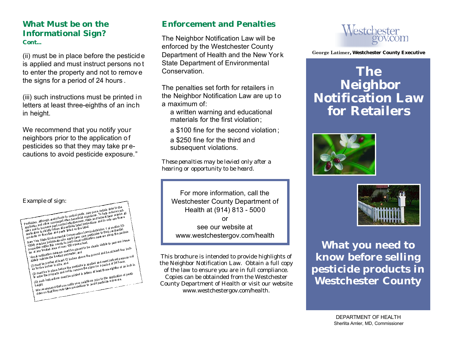### **What Must be on the Informational Sign?**  *Cont...*

(ii) must be in place before the pesticid e is applied and must instruct persons no t to enter the property and not to remov e the signs for a period of 24 hours .

(iii) such instructions must be printed i n letters at least three-eighths of an inch in height.

We recommend that you notify your neighbors prior to the application of pesticides so that they may take pr ecautions to avoid pesticide exposure."

| Example of sign:                                                                                                                                                                                                                                                                                                                                                                                                                                                                        |
|-----------------------------------------------------------------------------------------------------------------------------------------------------------------------------------------------------------------------------------------------------------------------------------------------------------------------------------------------------------------------------------------------------------------------------------------------------------------------------------------|
| Paskidas, although weright and to control pasts, may pose certain risks to the                                                                                                                                                                                                                                                                                                                                                                                                          |
| The more of the control of the control of the control of the control of the control of the control of the control of the control of the control of the control of the control of the control of the control of the control of                                                                                                                                                                                                                                                           |
|                                                                                                                                                                                                                                                                                                                                                                                                                                                                                         |
|                                                                                                                                                                                                                                                                                                                                                                                                                                                                                         |
| $\frac{1}{2}$ applies and to inciden the more more one in periodic set of a shall be a shall be a shall be a shall be a shall be a shall be a shall be a shall be a shall be a shall be a shall be a shall be a shall be a shall                                                                                                                                                                                                                                                        |
| The label with the same way to the label.                                                                                                                                                                                                                                                                                                                                                                                                                                               |
| New York State Engineerita Conservation Law (subdivision 1 of section $\frac{33}{2}$ )<br>$10^{10}$ and the spin measure of the position of the properties in the legitimal in the perimeter of the perimeter of the perimeter of the perimeter of the perimeter of the perimeter of the perimeter of the perimeter of t                                                                                                                                                                |
|                                                                                                                                                                                                                                                                                                                                                                                                                                                                                         |
| $\lambda$ is using the step mass are must be placed to be clearly distrible to persons immer and the mass of $\lambda$<br>the internal area of over 100 square fact.<br>(i) must be posted at least 12 inches above the ground and be at least four inch.<br>(i) must be posted at least 12 inches                                                                                                                                                                                      |
|                                                                                                                                                                                                                                                                                                                                                                                                                                                                                         |
|                                                                                                                                                                                                                                                                                                                                                                                                                                                                                         |
|                                                                                                                                                                                                                                                                                                                                                                                                                                                                                         |
| (i) must be in place before the pesticide is applied and must instruct persons not                                                                                                                                                                                                                                                                                                                                                                                                      |
| in the property and not to temporary in the state of 24 hours.<br>والمستقبل المستقبل المستقبل المستقبل المستقبل المستقبل المستقبل المستقبل المستقبل المستقبل المستقبل المستقبل ا<br>والمستقبل المستقبل المستقبل المستقبل المستقبل ا<br>(iii) such instructions must be printed in letters at least three-eighths of an inch in<br>We is a ammend that you nating your neighbors prior to the application of pesti-<br>we is a commend that you nating your neighbors prior that we have |
|                                                                                                                                                                                                                                                                                                                                                                                                                                                                                         |
| height.                                                                                                                                                                                                                                                                                                                                                                                                                                                                                 |
|                                                                                                                                                                                                                                                                                                                                                                                                                                                                                         |
|                                                                                                                                                                                                                                                                                                                                                                                                                                                                                         |
|                                                                                                                                                                                                                                                                                                                                                                                                                                                                                         |

### **Enforcement and Penalties**

The Neighbor Notification Law will be enforced by the Westchester County Department of Health and the New Yor k State Department of Environmental Conservation.

The penalties set forth for retailers i n the Neighbor Notification Law are up to a maximum of:

a written warning and educational materials for the first violation;

a \$100 fine for the second violation ;

a \$250 fine for the third and subsequent violations.

*These penalties may be levied only after a hearing or opportunity to be heard.* 

For more information, call the Westchester County Department of Health at (914) 813 - 5000 or see our website at <www.westchestergov.com/health>

This brochure is intended to provide highlights of the Neighbor Notification Law. Obtain a full copy of the law to ensure you are in full compliance. Copies can be obtainded from the Westchester County Department of Health or visit our website [www.westchestergov.com/health.](www.westchestergov.com/health)



**George Latimer, Westchester County Executive** 

## **The Neighbor Notification Law for Retailers**





**What you need to know before selling pesticide products in Westchester County**